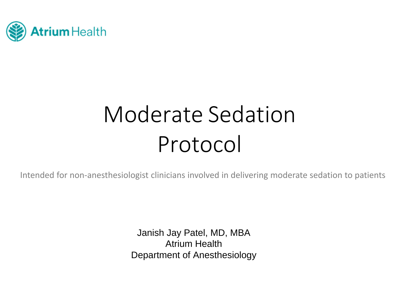

# Moderate SedationProtocol

Intended for non‐anesthesiologist clinicians involved in delivering moderate sedation to patients

Janish Jay Patel, MD, MBA Atrium HealthDepartment of Anesthesiology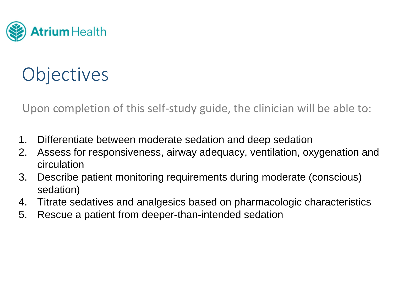

## **Objectives**

Upon completion of this self‐study guide, the clinician will be able to:

- 1. Differentiate between moderate sedation and deep sedation
- 2. Assess for responsiveness, airway adequacy, ventilation, oxygenation and circulation
- 3. Describe patient monitoring requirements during moderate (conscious) sedation)
- 4.Titrate sedatives and analgesics based on pharmacologic characteristics
- 5. Rescue a patient from deeper-than-intended sedation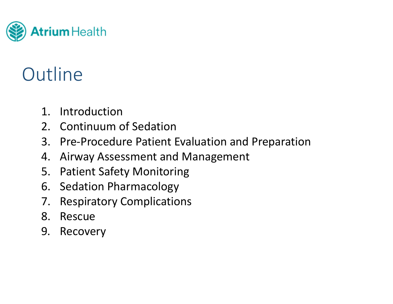

## **Outline**

- 1. Introduction
- 2. Continuum of Sedation
- 3. Pre‐Procedure Patient Evaluation and Preparation
- 4. Airway Assessment and Management
- 5. Patient Safety Monitoring
- 6. Sedation Pharmacology
- 7. Respiratory Complications
- 8. Rescue
- 9. Recovery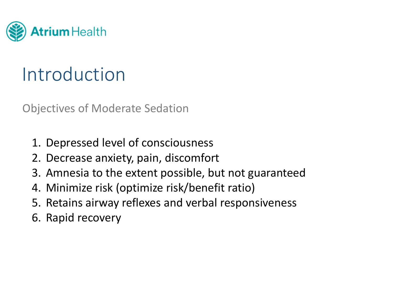

## Introduction

Objectives of Moderate Sedation

- 1. Depressed level of consciousness
- 2. Decrease anxiety, pain, discomfort
- 3. Amnesia to the extent possible, but not guaranteed
- 4. Minimize risk (optimize risk/benefit ratio)
- 5. Retains airway reflexes and verbal responsiveness
- 6. Rapid recovery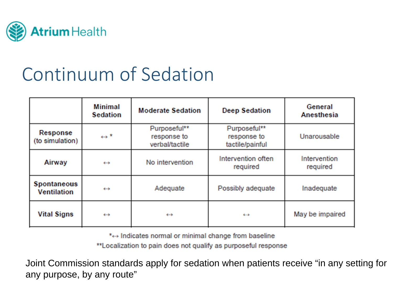

|                                          | <b>Minimal</b><br><b>Sedation</b> | <b>Moderate Sedation</b>                      | <b>Deep Sedation</b>                           | General<br>Anesthesia    |
|------------------------------------------|-----------------------------------|-----------------------------------------------|------------------------------------------------|--------------------------|
| Response<br>(to simulation)              | $\leftrightarrow$ <sup>*</sup>    | Purposeful**<br>response to<br>verbal/tactile | Purposeful**<br>response to<br>tactile/painful | Unarousable              |
| Airway                                   | $\leftrightarrow$                 | No intervention                               | Intervention often<br>required                 | Intervention<br>required |
| <b>Spontaneous</b><br><b>Ventilation</b> | Adequate<br>$\leftarrow$          |                                               | Possibly adequate                              | Inadequate               |
| <b>Vital Signs</b>                       | $\leftarrow$                      | $\leftarrow$                                  | $\leftrightarrow$                              | May be impaired          |

\*- Indicates normal or minimal change from baseline

\*\*Localization to pain does not qualify as purposeful response

Joint Commission standards apply for sedation when patients receive "in any setting for any purpose, by any route"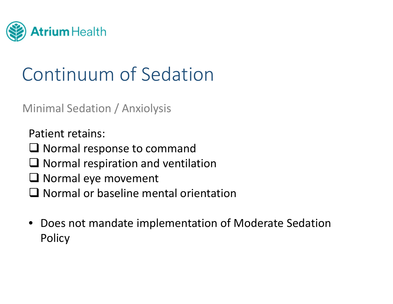

### Minimal Sedation / Anxiolysis

Patient retains:

- $\square$  Normal response to command
- $\square$  Normal respiration and ventilation
- $\square$  Normal eye movement
- $\Box$  Normal or baseline mental orientation
- • Does not mandate implementation of Moderate Sedation **Policy**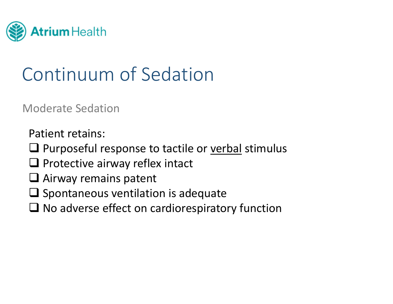

Moderate Sedation

Patient retains:

- **Q** Purposeful response to tactile or verbal stimulus
- $\square$  Protective airway reflex intact
- $\square$  Airway remains patent
- $\square$  Spontaneous ventilation is adequate
- $\square$  No adverse effect on cardiorespiratory function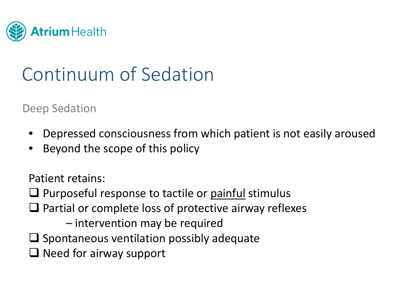

Deep Sedation

- •Depressed consciousness from which patient is not easily aroused
- •Beyond the scope of this policy

Patient retains:

**Q** Purposeful response to tactile or painful stimulus

 $\square$  Partial or complete loss of protective airway reflexes

– intervention may be required

- $\square$  Spontaneous ventilation possibly adequate
- $\Box$  Need for airway support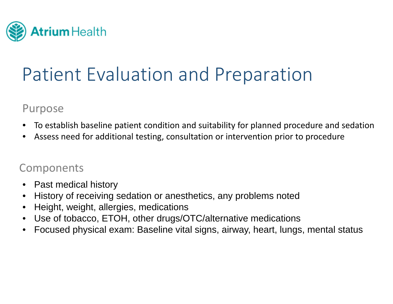

#### Purpose

- $\bullet$ To establish baseline patient condition and suitability for planned procedure and sedation
- •Assess need for additional testing, consultation or intervention prior to procedure

#### **Components**

- $\bullet$ Past medical history
- •History of receiving sedation or anesthetics, any problems noted
- $\bullet$ Height, weight, allergies, medications
- $\bullet$ Use of tobacco, ETOH, other drugs/OTC/alternative medications
- $\bullet$ Focused physical exam: Baseline vital signs, airway, heart, lungs, mental status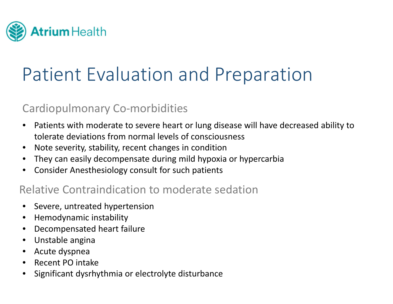

### Cardiopulmonary Co‐morbidities

- $\bullet$  Patients with moderate to severe heart or lung disease will have decreased ability to tolerate deviations from normal levels of consciousness
- $\bullet$ Note severity, stability, recent changes in condition
- $\bullet$ They can easily decompensate during mild hypoxia or hypercarbia
- $\bullet$ Consider Anesthesiology consult for such patients

### Relative Contraindication to moderate sedation

- $\bullet$ Severe, untreated hypertension
- $\bullet$ Hemodynamic instability
- •Decompensated heart failure
- $\bullet$ Unstable angina
- $\bullet$ Acute dyspnea
- $\bullet$ • Recent PO intake
- •Significant dysrhythmia or electrolyte disturbance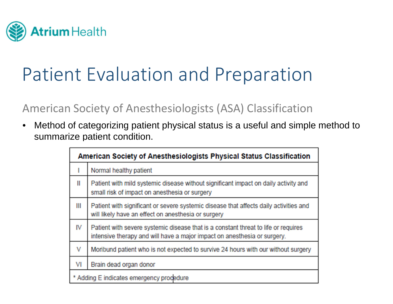

### American Society of Anesthesiologists (ASA) Classification

 $\bullet$  Method of categorizing patient physical status is a useful and simple method to summarize patient condition.

| American Society of Anesthesiologists Physical Status Classification |                                                                                                                                                                |  |  |
|----------------------------------------------------------------------|----------------------------------------------------------------------------------------------------------------------------------------------------------------|--|--|
|                                                                      | Normal healthy patient                                                                                                                                         |  |  |
| Ш                                                                    | Patient with mild systemic disease without significant impact on daily activity and<br>small risk of impact on anesthesia or surgery                           |  |  |
| Ш                                                                    | Patient with significant or severe systemic disease that affects daily activities and<br>will likely have an effect on anesthesia or surgery                   |  |  |
| IV                                                                   | Patient with severe systemic disease that is a constant threat to life or requires<br>intensive therapy and will have a major impact on anesthesia or surgery. |  |  |
| V                                                                    | Moribund patient who is not expected to survive 24 hours with our without surgery                                                                              |  |  |
| VI                                                                   | Brain dead organ donor                                                                                                                                         |  |  |
| Adding E indicates emergency procedure                               |                                                                                                                                                                |  |  |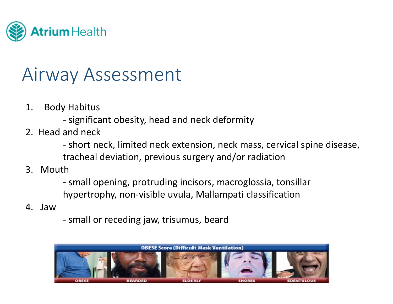

### Airway Assessment

- 1. Body Habitus
	- ‐- significant obesity, head and neck deformity
- 2. Head and neck
	- ‐ short neck, limited neck extension, neck mass, cervical spine disease, tracheal deviation, previous surgery and/or radiation
- 3. Mouth
	- ‐ small opening, protruding incisors, macroglossia, tonsillar hypertrophy, non‐visible uvula, Mallampati classification
- 4. Jaw
- ‐ small or receding jaw, trisumus, beard

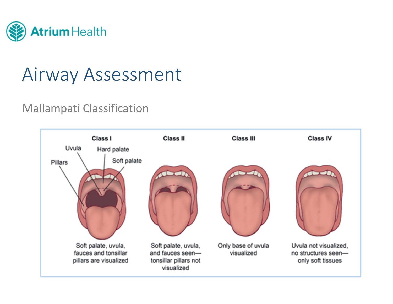

## Airway Assessment

### Mallampati Classification

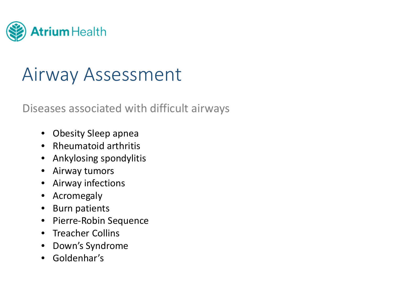

## Airway Assessment

### Diseases associated with difficult airways

- Obesity Sleep apnea
- Rheumatoid arthritis
- $\bullet$ Ankylosing spondylitis
- Airway tumors
- Airway infections
- $\bullet$ Acromegaly
- Burn patients
- Pierre‐Robin Sequence
- Treacher Collins
- $\bullet$ Down's Syndrome
- Goldenhar's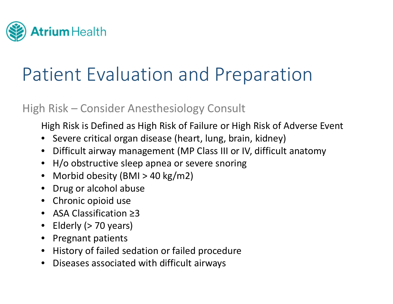

### High Risk – Consider Anesthesiology Consult

High Risk is Defined as High Risk of Failure or High Risk of Adverse Event

- Severe critical organ disease (heart, lung, brain, kidney)
- $\bullet$ Difficult airway management (MP Class III or IV, difficult anatomy
- H/o obstructive sleep apnea or severe snoring
- Morbid obesity (BMI <sup>&</sup>gt; 40 kg/m2)
- •Drug or alcohol abuse
- Chronic opioid use
- ASA Classification ≥3
- •Elderly (> 70 years)
- •Pregnant patients
- $\bullet$ History of failed sedation or failed procedure
- Diseases associated with difficult airways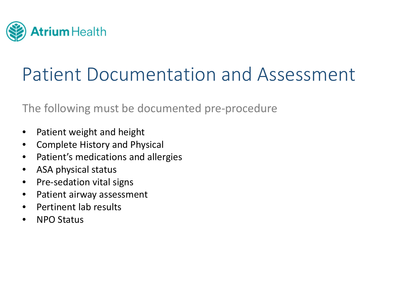

## Patient Documentation and Assessment

The following must be documented pre‐procedure

- $\bullet$ Patient weight and height
- $\bullet$ Complete History and Physical
- $\bullet$ Patient's medications and allergies
- $\bullet$ • ASA physical status
- $\bullet$ ● Pre-sedation vital signs
- $\bullet$ Patient airway assessment
- $\bullet$ • Pertinent lab results
- •• NPO Status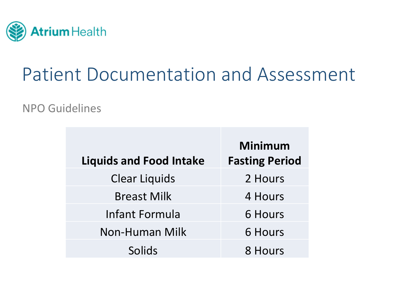

## Patient Documentation and Assessment

#### NPO Guidelines

| <b>Liquids and Food Intake</b> | <b>Minimum</b><br><b>Fasting Period</b> |
|--------------------------------|-----------------------------------------|
| <b>Clear Liquids</b>           | 2 Hours                                 |
| <b>Breast Milk</b>             | 4 Hours                                 |
| Infant Formula                 | 6 Hours                                 |
| <b>Non-Human Milk</b>          | <b>6 Hours</b>                          |
| Solids                         | 8 Hours                                 |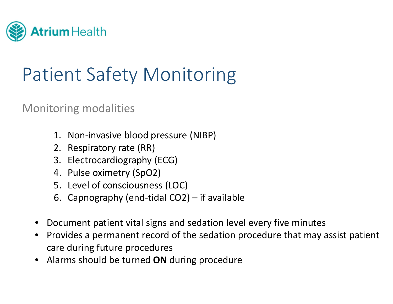

## Patient Safety Monitoring

#### Monitoring modalities

- 1. Non‐invasive blood pressure (NIBP)
- 2. Respiratory rate (RR)
- 3. Electrocardiography (ECG)
- 4. Pulse oximetry (SpO2)
- 5. Level of consciousness (LOC)
- 6. Capnography (end‐tidal CO2) if available
- •Document patient vital signs and sedation level every five minutes
- •• Provides a permanent record of the sedation procedure that may assist patient care during future procedures
- •Alarms should be turned **ON** during procedure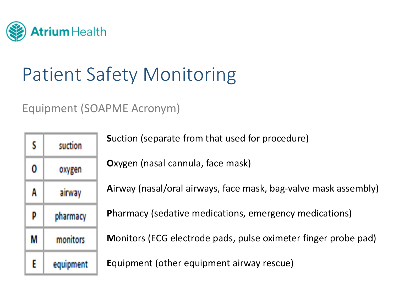

## Patient Safety Monitoring

### Equipment (SOAPME Acronym)

| S | suction   |  |
|---|-----------|--|
| 0 | oxygen    |  |
| A | airway    |  |
| p | pharmacy  |  |
| M | monitors  |  |
| E | equipment |  |

**S**uction (separate from that used for procedure)

**O**xygen (nasal cannula, face mask)

**A**irway (nasal/oral airways, face mask, bag‐valve mask assembly)

**P**harmacy (sedative medications, emergency medications)

**M**onitors (ECG electrode pads, pulse oximeter finger probe pad)

**E**quipment (other equipment airway rescue)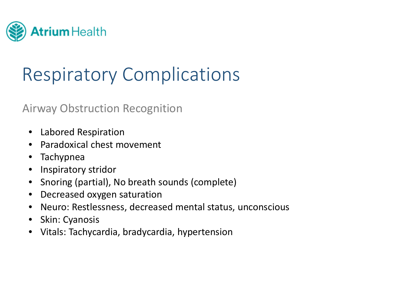

## Respiratory Complications

#### Airway Obstruction Recognition

- Labored Respiration
- •Paradoxical chest movement
- $\bullet$ Tachypnea
- $\bullet$ Inspiratory stridor
- $\bullet$ Snoring (partial), No breath sounds (complete)
- $\bullet$ **•** Decreased oxygen saturation
- $\bullet$ Neuro: Restlessness, decreased mental status, unconscious
- $\bullet$ Skin: Cyanosis
- $\bullet$ Vitals: Tachycardia, bradycardia, hypertension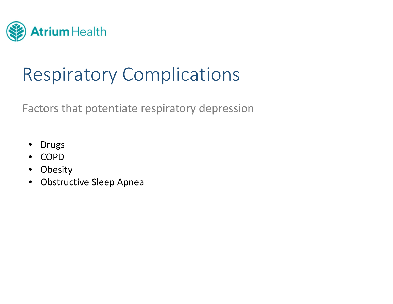

## Respiratory Complications

Factors that potentiate respiratory depression

- $\bullet$ Drugs
- COPD
- •Obesity
- $\bullet$ Obstructive Sleep Apnea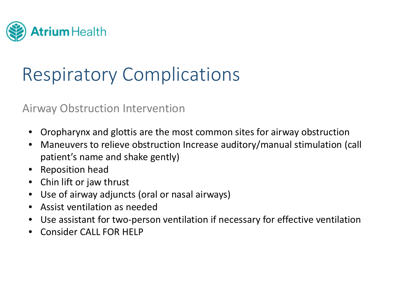

## Respiratory Complications

Airway Obstruction Intervention

- •Oropharynx and glottis are the most common sites for airway obstruction
- $\bullet$  Maneuvers to relieve obstruction Increase auditory/manual stimulation (call patient's name and shake gently)
- $\bullet$ Reposition head
- $\bullet$ Chin lift or jaw thrust
- $\bullet$ Use of airway adjuncts (oral or nasal airways)
- $\bullet$ Assist ventilation as needed
- $\bullet$ Use assistant for two‐person ventilation if necessary for effective ventilation
- •**• Consider CALL FOR HELP**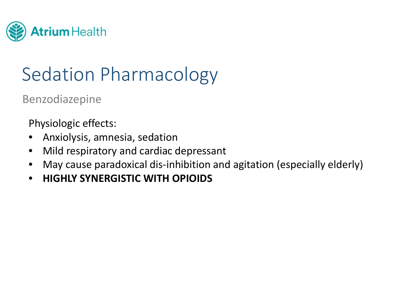

Benzodiazepine

Physiologic effects:

- $\bullet$ Anxiolysis, amnesia, sedation
- $\bullet$ Mild respiratory and cardiac depressant
- •May cause paradoxical dis‐inhibition and agitation (especially elderly)
- •**HIGHLY SYNERGISTIC WITH OPIOIDS**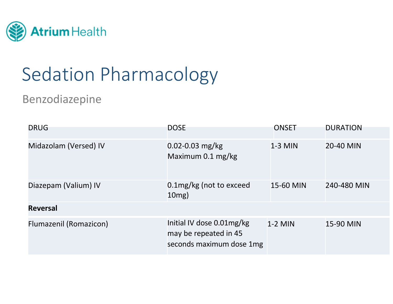

### Benzodiazepine

| <b>DRUG</b>            | <b>DOSE</b>                                                                    | <b>ONSET</b> | <b>DURATION</b> |
|------------------------|--------------------------------------------------------------------------------|--------------|-----------------|
| Midazolam (Versed) IV  | $0.02 - 0.03$ mg/kg<br>Maximum 0.1 mg/kg                                       | $1-3$ MIN    | 20-40 MIN       |
| Diazepam (Valium) IV   | 0.1mg/kg (not to exceed<br>$10mg$ )                                            | 15-60 MIN    | 240-480 MIN     |
| <b>Reversal</b>        |                                                                                |              |                 |
| Flumazenil (Romazicon) | Initial IV dose 0.01mg/kg<br>may be repeated in 45<br>seconds maximum dose 1mg | $1-2$ MIN    | 15-90 MIN       |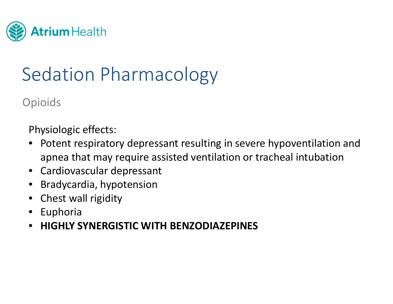

Opioids

Physiologic effects:

- • Potent respiratory depressant resulting in severe hypoventilation and apnea that may require assisted ventilation or tracheal intubation
- Cardiovascular depressant
- •Bradycardia, hypotension
- $\bullet$ Chest wall rigidity
- $\bullet$ Euphoria
- •**HIGHLY SYNERGISTIC WITH BENZODIAZEPINES**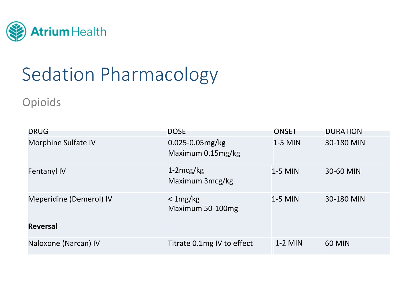

Opioids

| <b>DRUG</b>                | <b>DOSE</b>                               | <b>ONSET</b> | <b>DURATION</b> |
|----------------------------|-------------------------------------------|--------------|-----------------|
| <b>Morphine Sulfate IV</b> | $0.025 - 0.05$ mg/kg<br>Maximum 0.15mg/kg | $1-5$ MIN    | 30-180 MIN      |
| <b>Fentanyl IV</b>         | $1-2mcg/kg$<br>Maximum 3mcg/kg            | 1-5 MIN      | 30-60 MIN       |
| Meperidine (Demerol) IV    | $<$ 1 mg/kg<br>Maximum 50-100mg           | $1-5$ MIN    | 30-180 MIN      |
| <b>Reversal</b>            |                                           |              |                 |
| Naloxone (Narcan) IV       | Titrate 0.1mg IV to effect                | $1-2$ MIN    | <b>60 MIN</b>   |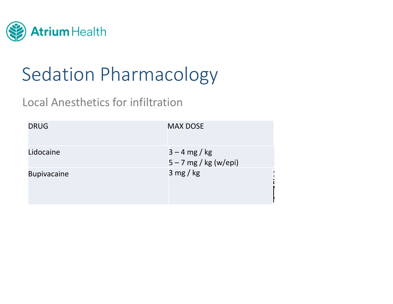

### Local Anesthetics for infiltration

| <b>DRUG</b>        | <b>MAX DOSE</b>                            |
|--------------------|--------------------------------------------|
| Lidocaine          | $3 - 4$ mg / kg<br>$5 - 7$ mg / kg (w/epi) |
| <b>Bupivacaine</b> | 3 mg/kg                                    |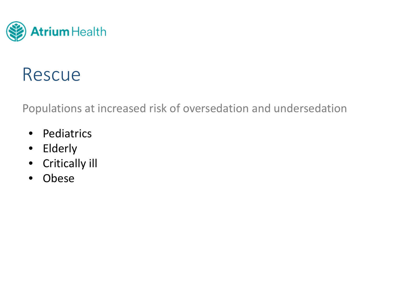

### Rescue

Populations at increased risk of oversedation and undersedation

- $\bullet$ • Pediatrics
- $\bullet$ Elderly
- $\bullet$ Critically ill
- •Obese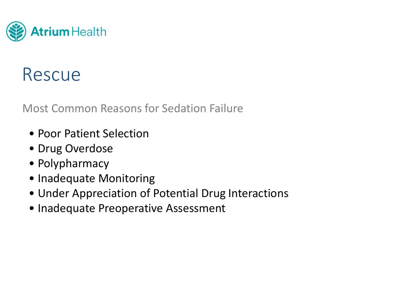

### Rescue

Most Common Reasons for Sedation Failure

- Poor Patient Selection
- Drug Overdose
- Polypharmacy
- Inadequate Monitoring
- Under Appreciation of Potential Drug Interactions
- Inadequate Preoperative Assessment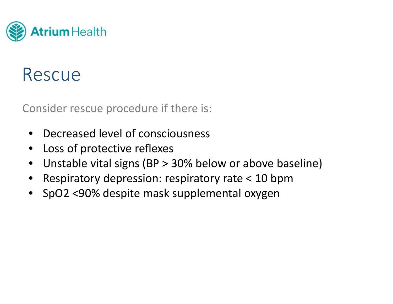

### Rescue

Consider rescue procedure if there is:

- •• Decreased level of consciousness
- •Loss of protective reflexes
- $\bullet$ Unstable vital signs (BP <sup>&</sup>gt; 30% below or above baseline)
- •Respiratory depression: respiratory rate <sup>&</sup>lt; 10 bpm
- SpO2 <90% despite mask supplemental oxygen